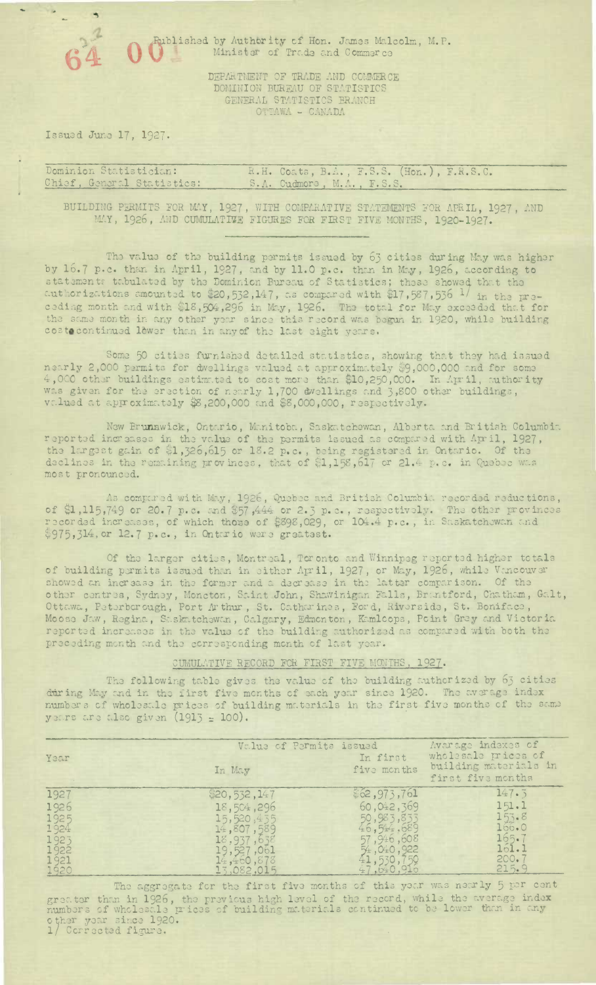Published by Authority of Hon. James Malcolm, M.P.<br>Minister of Trade and Commerce

DEPARTMENT OF TRADE AND COMMERCE DOMINION BUREAU OF STATISTICS GENERAL STATISTICS BRANCH OTTAWA - CANADA

Issued June 17, 1927.

| The country of the Chinese State and the Chinese State and the Chinese State and the Chinese State and The Chinese State and |                                           |
|------------------------------------------------------------------------------------------------------------------------------|-------------------------------------------|
| Dominion Statistician:                                                                                                       | R.H. Coats, B.A., F.S.S. (Hon.), F.R.S.C. |
| Chief, General Statistics:                                                                                                   | S.A. Cudmore, M.A., F.S.S.                |

BUILDING PERMITS FOR MAY, 1927, WITH COMPARATIVE STATEMENTS FOR APRIL, 1927, AND MAY, 1926, AND CUMULATIVE FIGURES FOR FIRST FIVE MONTHS, 1920-1927.

The value of the building permits issued by 63 cities during May was higher by 16.7 p.c. than in April, 1927, and by 11.0 p.c. than in May, 1926, according to statements tabulated by the Dominion Bureau of Statistics; these showed that the authorizations amounted to \$20,532,147, as compared with ceding month and with \$18,504,296 in May, 1926. The total for May exceeded that for the same month in any other year since this record was begun in 1920, while building costocontinued lower than in any of the last eight years.

Some 50 cities furnished detailed statistics, showing that they had issued nearly 2,000 permits for dwellings valued at approximately \$9,000,000 and for some 4,000 other buildings estimated to cost more than \$10,250,000. In April, authority was given for the erection of nearly 1,700 dwellings and 3,800 other buildings, valued at approximately \$8,200,000 and \$8,000,000, respectively.

New Brunswick, Ontario, Manitoba, Saskatchewan, Alberta and British Columbia reported increases in the value of the permits issued as compared with April, 1927, the largest gain of \$1,326,615 or 18.2 p.c., being registered in Ontario. Of the declines in the remaining provinces, that of \$1,158,617 or 21.4 p.c. in Quebec was most pronounced.

As compared with May, 1926, Quebec and British Columbia recorded reductions, of \$1,115,749 or 20.7 p.c. and \$57,444 or 2.3 p.c., respectively. The other provinces recorded increases, of which those of \$898,029, or 104.4 p.c., in Saskatchewan and \$975,314, or 12.7 p.c., in Onterio were greatest.

Of the larger cities, Montreal, Teronto and Winnipeg reported higher totals<br>of building permits issued than in either April, 1927, or May, 1926, while Vancouver<br>showed an increase in the former and a decrease in the latter showsd an indicates in the former and a ded dass in the latter comparison. Of the other centres, Sydney, Moncton, Saint John, Shawinigan Falls, Brantford, Chatham, Galt, Ottawa, Peterborough, Port Arthur, St. Catharines, F

## CUMULATIVE RECORD FOR FIRST FIVE MONTHS, 1927.

The following table gives the value of the building authorized by 63 cities during May and in the first five months of each year since 1920. The average index numbers of wholesale prices of building materials in the first five months of the same years are also given  $(1913 \pm 100)$ .

| Year                                                 | Value of Permits issued<br>In May                                                                              | In first<br>five months                                                                                        | Avarage indexes of<br>wholesale prices of<br>building materials in<br>first five months |
|------------------------------------------------------|----------------------------------------------------------------------------------------------------------------|----------------------------------------------------------------------------------------------------------------|-----------------------------------------------------------------------------------------|
| 1927<br>1926<br>1925<br>1924<br>1922<br>1922<br>1920 | \$20,532,147<br>18,504,296<br>15,520,435<br>14,807,589<br>18,937,638<br>19,527,061<br>14,460,878<br>13,082,015 | \$62,973,761<br>60,022,369<br>50,983,833<br>46,544,689<br>57,946,608<br>54,040,922<br>41,530,759<br>47,640,916 | 147.5<br>151.1<br>$153.8$<br>$156.0$<br>$^{165}_{161}$ :<br>200.7<br>215.9              |

The aggregate for the first five months of this year was nearly 5 per cent greater than in 1926, the previous high level of the record, while the average index<br>numbers of wholesale prices of building materials continued to be lower than in any<br>other year since 1920.<br>1/ Corrected figure.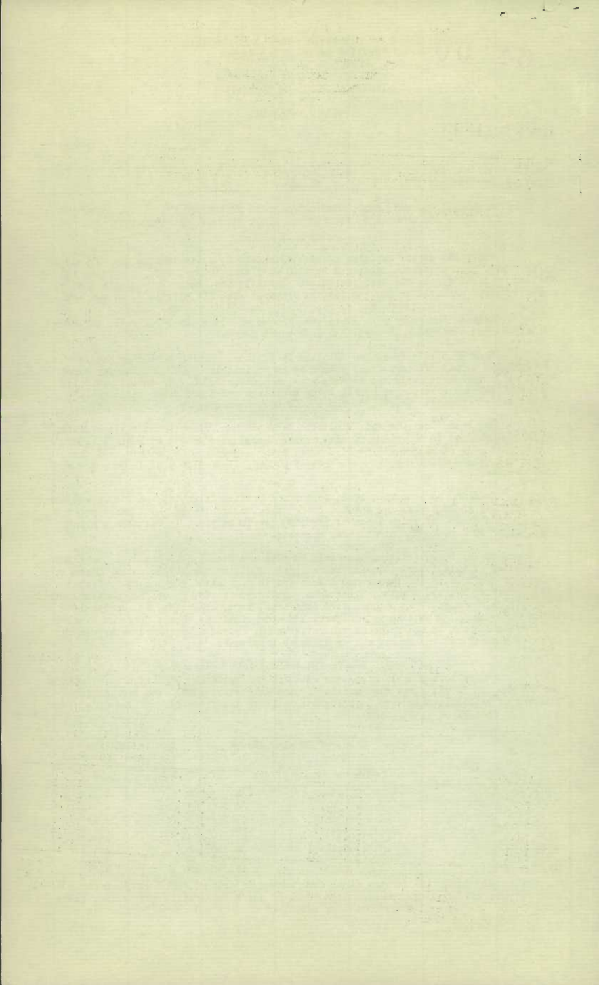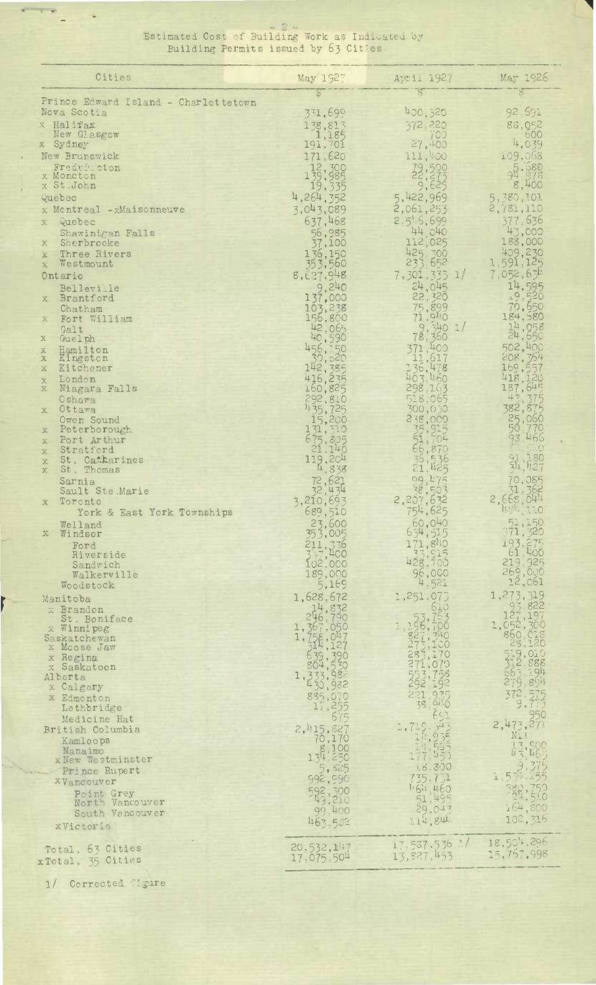Estimated Cost of Building Work as Indicated by<br>Building Permits issued by 63 Cities.

| Cities                                                | May 1927                                                                  | April 1927                                                                                            | May 1926                                                   |
|-------------------------------------------------------|---------------------------------------------------------------------------|-------------------------------------------------------------------------------------------------------|------------------------------------------------------------|
| Prince Edward Island - Charlottetown                  |                                                                           | $\mathfrak{S}$                                                                                        | $\mathscr{F}$                                              |
| Nova Scotia                                           | 331,699                                                                   | 400,520                                                                                               | 92.591                                                     |
| x Halifax<br>New Glasgow                              | 138,813<br>1,185                                                          | 572.220<br>700                                                                                        | 88,052<br>600                                              |
| x Sydney                                              | 191,701                                                                   | 27,400                                                                                                | 4,039                                                      |
| New Brunswick                                         | 171,620                                                                   | 111,400                                                                                               | 109,068                                                    |
| Fredricton                                            | $1\frac{12}{39}$<br><b>300</b>                                            |                                                                                                       | $9\frac{5}{8}, \frac{580}{400}$                            |
| x Moncton                                             | 985                                                                       | $\frac{79}{9}, \frac{500}{625}$                                                                       |                                                            |
| x St.John<br>Quebec                                   | 19,335                                                                    | 5,422,969                                                                                             |                                                            |
| x Montreal -xMaisonneuve                              | 4,264,352<br>3,043,089                                                    | 2,061,253                                                                                             | 5,380,101<br>2.781,110                                     |
| Quebec                                                | 637,468                                                                   | 2.5!5.699                                                                                             | 377,636                                                    |
| $\mathbf{x}$<br>Shawinigan Falls                      | 56,985                                                                    | 44 C40                                                                                                | 43,000                                                     |
| Sherbrooke<br>$\mathbf{x}$                            | 37,100                                                                    | 112,025                                                                                               | 188,000                                                    |
| Three Rivers<br>X.                                    | 136,150                                                                   | 425<br>.300                                                                                           | 409,230                                                    |
| Westmount<br>$\chi$                                   | 353,560                                                                   | 233.<br>652                                                                                           | 1,591,125                                                  |
| Ontario                                               | 8,627.948                                                                 | 7,301,333<br>$\frac{1}{2}$                                                                            | 7,052,634                                                  |
| Belleville                                            | 9,240                                                                     | 24,045<br>22.320                                                                                      | 14,595<br>19.520                                           |
| Brantford<br>X<br>Chatham                             | 137,000<br>103,238                                                        |                                                                                                       | 70,650                                                     |
| Fort William<br>$\mathbb{X}$                          | 156,800                                                                   | 75,899                                                                                                | 184,580                                                    |
| Galt                                                  | 42.065                                                                    | $-340$<br>9                                                                                           | $\frac{14}{24}, \frac{958}{650}$                           |
| Guelph<br>X.                                          | 40,590                                                                    | 78.360<br>400                                                                                         | 502,400                                                    |
| Hamilton<br>Х<br>Kingston<br>$\mathbf x$              | 456.750<br>30,020                                                         | 371,<br>61                                                                                            | 208, 764                                                   |
| Kitchener<br>$\mathbf{x}$                             | 142,385                                                                   | 478<br>136,                                                                                           |                                                            |
| London<br>$\mathbf{X}$                                | 416,235                                                                   | 403 460                                                                                               | 169,557<br>418,120                                         |
| Niagara Falls<br>$\mathbf X$                          | 160,825                                                                   | 298.163                                                                                               | 187,645<br>47                                              |
| Oshawa<br>Ottawa<br>X                                 | 292,810<br>435,725                                                        | 518,065<br>300,030                                                                                    | 382,87                                                     |
| Owen Sound                                            | 15,200                                                                    | 238,000                                                                                               | 25,060                                                     |
| Peterborough<br>х                                     | 131,<br>3.50                                                              | 35,915                                                                                                | $\frac{50}{93}$                                            |
| Port Arthur<br>Х.                                     | 675,395<br>21<br>740                                                      |                                                                                                       |                                                            |
| Stratford<br>X.<br>St. Catharines                     | 119,20 <sup>11</sup>                                                      | bЬ                                                                                                    |                                                            |
| $\mathbf x$<br>St. Thomas<br>$\mathbf{x}$             | .338<br>Ц.                                                                |                                                                                                       | V:27                                                       |
| Sarnia                                                | 72,621                                                                    | QQ                                                                                                    | 70,085                                                     |
| Sault Ste.Marie                                       | 32,434                                                                    | ัรุ์                                                                                                  | 31<br>362<br>2,668<br>$0$ th                               |
| Torento<br>$\mathbf{x}$<br>York & East York Townships | 3,210,693<br>689,510                                                      | 2, 207<br>1,632<br>754,625                                                                            | 165-170                                                    |
| Welland                                               | 23,600                                                                    | 60,040                                                                                                | 51,150                                                     |
| Windsor<br>$\mathbf{x}$                               | 353,005                                                                   | 654,515                                                                                               | 71,320                                                     |
| Ford                                                  | 211, 336                                                                  | $171, 840$<br>$428, 700$<br>$96, 000$                                                                 |                                                            |
| Riverside<br>Sandwich                                 | 3-7,400                                                                   |                                                                                                       |                                                            |
| Walkerville                                           |                                                                           |                                                                                                       |                                                            |
| Woodstock                                             | 189,000<br>5,169                                                          | 4.521                                                                                                 | $193.275$<br>$61.60$<br>$219.925$<br>$269.000$<br>$12.061$ |
| Manitoba                                              | 1,628.672                                                                 | 1,251,075                                                                                             | 1, 273, 319                                                |
| x Brandon                                             | $2\frac{14}{16}, \frac{832}{790}$                                         | 610                                                                                                   | 93.822<br>197                                              |
| St. Boniface<br>x Winnipeg                            |                                                                           |                                                                                                       | 2,052,860,                                                 |
| Saskatchewan                                          |                                                                           | 1, 196, 763<br>1, 196, 700<br>1, 196, 700<br>277, 100<br>287, 170                                     | 52.300<br>160,018<br>23,120                                |
| x Mcose Jaw                                           |                                                                           |                                                                                                       |                                                            |
| x Regina<br>x Saskatoon                               |                                                                           |                                                                                                       | 519,010                                                    |
| Alberta                                               |                                                                           | 271.070<br>553,758<br>292.192                                                                         | 563.194                                                    |
| x Calgary                                             | 1,367,050<br>1,758,047<br>539,1327<br>539,390<br>537,930,932<br>1,333,932 |                                                                                                       | 279,894                                                    |
| x Edmonton                                            | 835,070<br>17,255                                                         | 221, 975                                                                                              | $372, 575$<br>9,775                                        |
| Lethbridge                                            | 675                                                                       |                                                                                                       |                                                            |
| Medicine Hat<br>British Columbia                      | 2,415,827                                                                 |                                                                                                       | $2,473,271$<br>$N = 1$                                     |
| Kamloops                                              | 70,170                                                                    | $\frac{1}{12}$ , $\frac{7}{12}$ , $\frac{1}{12}$ , $\frac{1}{12}$ , $\frac{1}{12}$<br>$\frac{25}{55}$ |                                                            |
| Nanaimo                                               |                                                                           | 277, 450                                                                                              | $\frac{13}{4}$ , $\frac{500}{3}$                           |
| x New Westminster                                     |                                                                           | 18.300                                                                                                |                                                            |
| Prince Rupert<br>xVancouver                           | $3\frac{8}{1}$<br>$3\frac{1}{5}$<br>$5\frac{250}{5}$<br>$992,990$         | 735.751                                                                                               | 1,531.155                                                  |
| Point Grey                                            | 592, 300                                                                  | 161.460                                                                                               | 589.750                                                    |
| North Vancouver                                       |                                                                           | 51,495                                                                                                |                                                            |
| South Vancouver                                       | 99,400                                                                    | $29.0 + 3$<br>114,841                                                                                 | 102,316                                                    |
| xVictoria                                             | 463.532                                                                   |                                                                                                       |                                                            |
|                                                       |                                                                           | $17.537.5\%$ $1/$                                                                                     | 18,504.296                                                 |
| Total, 63 Cities                                      | 20.532,147<br>17.075.504                                                  | 13,827,453                                                                                            | 15, 767, 998                                               |
| xTotal, 35 Cities                                     |                                                                           |                                                                                                       |                                                            |

1/ Corrected figure

 $\begin{array}{c|c} \hline \quad \bullet \quad \bullet \quad \bullet \end{array}$ 

 $\ddot{\phantom{a}}$ 

I